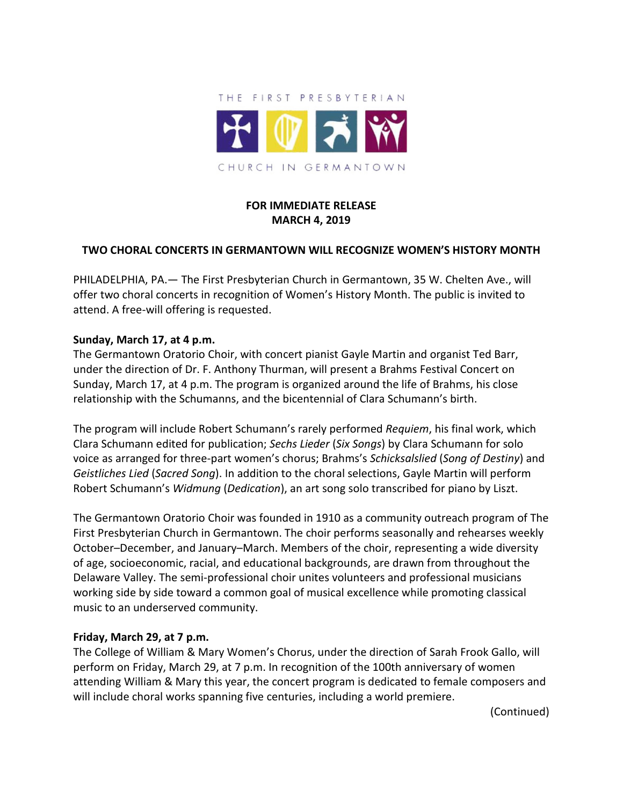

# **FOR IMMEDIATE RELEASE MARCH 4, 2019**

## **TWO CHORAL CONCERTS IN GERMANTOWN WILL RECOGNIZE WOMEN'S HISTORY MONTH**

PHILADELPHIA, PA.— The First Presbyterian Church in Germantown, 35 W. Chelten Ave., will offer two choral concerts in recognition of Women's History Month. The public is invited to attend. A free-will offering is requested.

#### **Sunday, March 17, at 4 p.m.**

The Germantown Oratorio Choir, with concert pianist Gayle Martin and organist Ted Barr, under the direction of Dr. F. Anthony Thurman, will present a Brahms Festival Concert on Sunday, March 17, at 4 p.m. The program is organized around the life of Brahms, his close relationship with the Schumanns, and the bicentennial of Clara Schumann's birth.

The program will include Robert Schumann's rarely performed *Requiem*, his final work, which Clara Schumann edited for publication; *Sechs Lieder* (*Six Songs*) by Clara Schumann for solo voice as arranged for three-part women's chorus; Brahms's *Schicksalslied* (*Song of Destiny*) and *Geistliches Lied* (*Sacred Song*). In addition to the choral selections, Gayle Martin will perform Robert Schumann's *Widmung* (*Dedication*), an art song solo transcribed for piano by Liszt.

The Germantown Oratorio Choir was founded in 1910 as a community outreach program of The First Presbyterian Church in Germantown. The choir performs seasonally and rehearses weekly October–December, and January–March. Members of the choir, representing a wide diversity of age, socioeconomic, racial, and educational backgrounds, are drawn from throughout the Delaware Valley. The semi-professional choir unites volunteers and professional musicians working side by side toward a common goal of musical excellence while promoting classical music to an underserved community.

## **Friday, March 29, at 7 p.m.**

The College of William & Mary Women's Chorus, under the direction of Sarah Frook Gallo, will perform on Friday, March 29, at 7 p.m. In recognition of the 100th anniversary of women attending William & Mary this year, the concert program is dedicated to female composers and will include choral works spanning five centuries, including a world premiere.

(Continued)